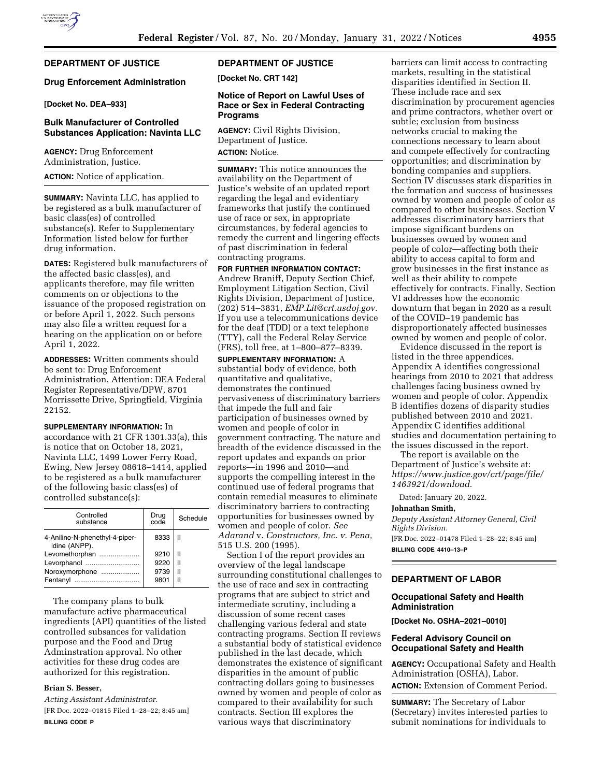## **DEPARTMENT OF JUSTICE**

#### **Drug Enforcement Administration**

**[Docket No. DEA–933]** 

## **Bulk Manufacturer of Controlled Substances Application: Navinta LLC**

**AGENCY:** Drug Enforcement Administration, Justice.

**ACTION:** Notice of application.

**SUMMARY:** Navinta LLC, has applied to be registered as a bulk manufacturer of basic class(es) of controlled substance(s). Refer to Supplementary Information listed below for further drug information.

**DATES:** Registered bulk manufacturers of the affected basic class(es), and applicants therefore, may file written comments on or objections to the issuance of the proposed registration on or before April 1, 2022. Such persons may also file a written request for a hearing on the application on or before April 1, 2022.

**ADDRESSES:** Written comments should be sent to: Drug Enforcement Administration, Attention: DEA Federal Register Representative/DPW, 8701 Morrissette Drive, Springfield, Virginia 22152.

**SUPPLEMENTARY INFORMATION:** In accordance with 21 CFR 1301.33(a), this is notice that on October 18, 2021, Navinta LLC, 1499 Lower Ferry Road, Ewing, New Jersey 08618–1414, applied to be registered as a bulk manufacturer of the following basic class(es) of controlled substance(s):

| Controlled<br>substance                         | Drug<br>code | Schedule |
|-------------------------------------------------|--------------|----------|
| 4-Anilino-N-phenethyl-4-piper-<br>idine (ANPP). | 8333         | Ш        |
| Levomethorphan                                  | 9210         | Ш        |
| Levorphanol                                     | 9220         | Ш        |
| Noroxymorphone                                  | 9739         | Ш        |
| Fentanvl<br>                                    | 9801         |          |

The company plans to bulk manufacture active pharmaceutical ingredients (API) quantities of the listed controlled subsances for validation purpose and the Food and Drug Adminstration approval. No other activities for these drug codes are authorized for this registration.

### **Brian S. Besser,**

*Acting Assistant Administrator.*  [FR Doc. 2022–01815 Filed 1–28–22; 8:45 am] **BILLING CODE P** 

# **DEPARTMENT OF JUSTICE**

**[Docket No. CRT 142]** 

## **Notice of Report on Lawful Uses of Race or Sex in Federal Contracting Programs**

**AGENCY:** Civil Rights Division, Department of Justice. **ACTION:** Notice.

**SUMMARY:** This notice announces the availability on the Department of Justice's website of an updated report regarding the legal and evidentiary frameworks that justify the continued use of race or sex, in appropriate circumstances, by federal agencies to remedy the current and lingering effects of past discrimination in federal contracting programs.

**FOR FURTHER INFORMATION CONTACT:**  Andrew Braniff, Deputy Section Chief, Employment Litigation Section, Civil Rights Division, Department of Justice, (202) 514–3831, *[EMP.Lit@crt.usdoj.gov.](mailto:EMP.Lit@crt.usdoj.gov)*  If you use a telecommunications device for the deaf (TDD) or a text telephone (TTY), call the Federal Relay Service (FRS), toll free, at 1–800–877–8339.

**SUPPLEMENTARY INFORMATION:** A substantial body of evidence, both quantitative and qualitative, demonstrates the continued pervasiveness of discriminatory barriers that impede the full and fair participation of businesses owned by women and people of color in government contracting. The nature and breadth of the evidence discussed in the report updates and expands on prior reports—in 1996 and 2010—and supports the compelling interest in the continued use of federal programs that contain remedial measures to eliminate discriminatory barriers to contracting opportunities for businesses owned by women and people of color. *See Adarand* v. *Constructors, Inc. v. Pena,*  515 U.S. 200 (1995).

Section I of the report provides an overview of the legal landscape surrounding constitutional challenges to the use of race and sex in contracting programs that are subject to strict and intermediate scrutiny, including a discussion of some recent cases challenging various federal and state contracting programs. Section II reviews a substantial body of statistical evidence published in the last decade, which demonstrates the existence of significant disparities in the amount of public contracting dollars going to businesses owned by women and people of color as compared to their availability for such contracts. Section III explores the various ways that discriminatory

barriers can limit access to contracting markets, resulting in the statistical disparities identified in Section II. These include race and sex discrimination by procurement agencies and prime contractors, whether overt or subtle; exclusion from business networks crucial to making the connections necessary to learn about and compete effectively for contracting opportunities; and discrimination by bonding companies and suppliers. Section IV discusses stark disparities in the formation and success of businesses owned by women and people of color as compared to other businesses. Section V addresses discriminatory barriers that impose significant burdens on businesses owned by women and people of color—affecting both their ability to access capital to form and grow businesses in the first instance as well as their ability to compete effectively for contracts. Finally, Section VI addresses how the economic downturn that began in 2020 as a result of the COVID–19 pandemic has disproportionately affected businesses owned by women and people of color.

Evidence discussed in the report is listed in the three appendices. Appendix A identifies congressional hearings from 2010 to 2021 that address challenges facing business owned by women and people of color. Appendix B identifies dozens of disparity studies published between 2010 and 2021. Appendix C identifies additional studies and documentation pertaining to the issues discussed in the report.

The report is available on the Department of Justice's website at: *[https://www.justice.gov/crt/page/file/](https://www.justice.gov/crt/page/file/1463921/download)  [1463921/download.](https://www.justice.gov/crt/page/file/1463921/download)* 

Dated: January 20, 2022.

### **Johnathan Smith,**

*Deputy Assistant Attorney General, Civil Rights Division.*  [FR Doc. 2022–01478 Filed 1–28–22; 8:45 am] **BILLING CODE 4410–13–P** 

## **DEPARTMENT OF LABOR**

## **Occupational Safety and Health Administration**

**[Docket No. OSHA–2021–0010]** 

### **Federal Advisory Council on Occupational Safety and Health**

**AGENCY:** Occupational Safety and Health Administration (OSHA), Labor. **ACTION:** Extension of Comment Period.

**SUMMARY:** The Secretary of Labor (Secretary) invites interested parties to submit nominations for individuals to